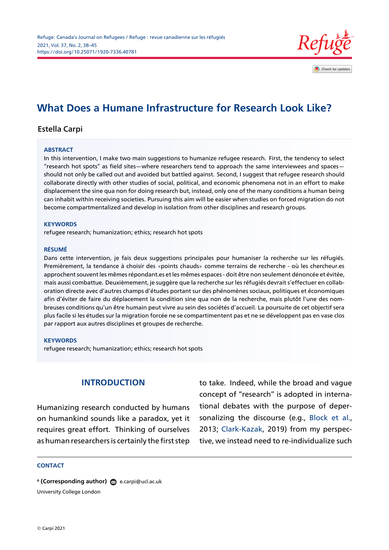

# **What Does a Humane Infrastructure for Research Look Like?**

### Estella Carpi

#### **ABSTRACT**

In this intervention, I make two main suggestions to humanize refugee research. First, the tendency to select "research hot spots" as field sites—where researchers tend to approach the same interviewees and spaces should not only be called out and avoided but battled against. Second, I suggest that refugee research should collaborate directly with other studies of social, political, and economic phenomena not in an effort to make displacement the sine qua non for doing research but, instead, only one of the many conditions a human being can inhabit within receiving societies. Pursuing this aim will be easier when studies on forced migration do not become compartmentalized and develop in isolation from other disciplines and research groups.

#### **KEYWORDS**

refugee research; humanization; ethics; research hot spots

#### RÉSUMÉ

Dans cette intervention, je fais deux suggestions principales pour humaniser la recherche sur les réfugiés. Premièrement, la tendance à choisir des «points chauds» comme terrains de recherche - où les chercheur.es approchent souvent les mêmes répondant.es et les mêmes espaces - doit être non seulement dénoncée et évitée, mais aussi combattue. Deuxièmement, je suggère que la recherche sur les réfugiés devrait s'effectuer en collaboration directe avec d'autres champs d'études portant sur des phénomènes sociaux, politiques et économiques afin d'éviter de faire du déplacement la condition sine qua non de la recherche, mais plutôt l'une des nombreuses conditions qu'un être humain peut vivre au sein des sociétés d'accueil. La poursuite de cet objectif sera plus facile si les études sur la migration forcée ne se compartimentent pas et ne se développent pas en vase clos par rapport aux autres disciplines et groupes de recherche.

### **KEYWORDS**

refugee research; humanization; ethics; research hot spots

### INTRODUCTION

Humanizing research conducted by humans on humankind sounds like a paradox, yet it requires great effort. Thinking of ourselves as human researchers is certainly the first step to take. Indeed, while the broad and vague concept of "research" is adopted in international debates with the purpose of depersonalizing the discourse (e.g., Block et al., 2013; Clark-Kazak, 2019) from my perspective, we instead need to re-individualize such

#### **CONTACT**

a (Corresponding author) @ e.carpi@ucl.ac.uk University College London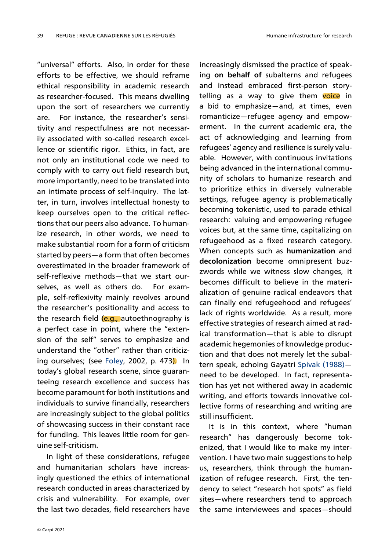"universal" efforts. Also, in order for these efforts to be effective, we should reframe ethical responsibility in academic research as researcher-focused. This means dwelling upon the sort of researchers we currently are. For instance, the researcher's sensitivity and respectfulness are not necessarily associated with so-called research excellence or scientific rigor. Ethics, in fact, are not only an institutional code we need to comply with to carry out field research but, more importantly, need to be translated into an intimate process of self-inquiry. The latter, in turn, involves intellectual honesty to keep ourselves open to the critical reflections that our peers also advance. To humanize research, in other words, we need to make substantial room for a form of criticism started by peers—a form that often becomes overestimated in the broader framework of self-reflexive methods—that we start ourselves, as well as others do. For example, self-reflexivity mainly revolves around the researcher's positionality and access to the research field (e.g., autoethnography is a perfect case in point, where the "extension of the self" serves to emphasize and understand the "other" rather than criticizing ourselves; (see Foley, 2002, p. 473). In today's global research scene, since guaranteeing research excellence and success has become paramount for both institutions and individuals to survive financially, researchers are increasingly subject to the global politics of showcasing success in their constant race for funding. This leaves little room for genuine self-criticism.

In light of these considerations, refugee and humanitarian scholars have increasingly questioned the ethics of international research conducted in areas characterized by crisis and vulnerability. For example, over the last two decades, field researchers have

increasingly dismissed the practice of speaking on behalf of subalterns and refugees and instead embraced first-person storytelling as a way to give them voice in a bid to emphasize—and, at times, even romanticize—refugee agency and empowerment. In the current academic era, the act of acknowledging and learning from refugees' agency and resilience is surely valuable. However, with continuous invitations being advanced in the international community of scholars to humanize research and to prioritize ethics in diversely vulnerable settings, refugee agency is problematically becoming tokenistic, used to parade ethical research: valuing and empowering refugee voices but, at the same time, capitalizing on refugeehood as a fixed research category. When concepts such as humanization and decolonization become omnipresent buzzwords while we witness slow changes, it becomes difficult to believe in the materialization of genuine radical endeavors that can finally end refugeehood and refugees' lack of rights worldwide. As a result, more effective strategies of research aimed at radical transformation—that is able to disrupt academic hegemonies of knowledge production and that does not merely let the subaltern speak, echoing Gayatri Spivak (1988) need to be developed. In fact, representation has yet not withered away in academic writing, and efforts towards innovative collective forms of researching and writing are still insufficient.

It is in this context, where "human research" has dangerously become tokenized, that I would like to make my intervention. I have two main suggestions to help us, researchers, think through the humanization of refugee research. First, the tendency to select "research hot spots" as field sites—where researchers tend to approach the same interviewees and spaces—should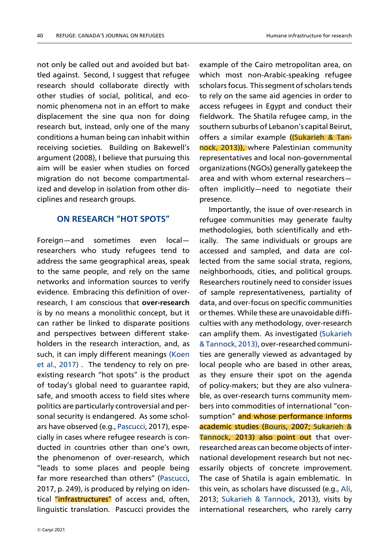not only be called out and avoided but battled against. Second, I suggest that refugee research should collaborate directly with other studies of social, political, and economic phenomena not in an effort to make displacement the sine qua non for doing research but, instead, only one of the many conditions a human being can inhabit within receiving societies. Building on Bakewell's argument (2008), I believe that pursuing this aim will be easier when studies on forced migration do not become compartmentalized and develop in isolation from other disciplines and research groups.

### ON RESEARCH "HOT SPOTS"

Foreign—and sometimes even local researchers who study refugees tend to address the same geographical areas, speak to the same people, and rely on the same networks and information sources to verify evidence. Embracing this definition of overresearch, I am conscious that over-research is by no means a monolithic concept, but it can rather be linked to disparate positions and perspectives between different stakeholders in the research interaction, and, as such, it can imply different meanings (Koen et al., 2017) . The tendency to rely on preexisting research "hot spots" is the product of today's global need to guarantee rapid, safe, and smooth access to field sites where politics are particularly controversial and personal security is endangered. As some scholars have observed (e.g., Pascucci, 2017), especially in cases where refugee research is conducted in countries other than one's own, the phenomenon of over-research, which "leads to some places and people being far more researched than others" (Pascucci, 2017, p. 249), is produced by relying on identical "infrastructures" of access and, often, linguistic translation. Pascucci provides the

example of the Cairo metropolitan area, on which most non-Arabic-speaking refugee scholars focus. This segment of scholars tends to rely on the same aid agencies in order to access refugees in Egypt and conduct their fieldwork. The Shatila refugee camp, in the southern suburbs of Lebanon's capital Beirut, offers a similar example ((Sukarieh & Tannock, 2013)), where Palestinian community representatives and local non-governmental organizations (NGOs) generally gatekeep the area and with whom external researchers often implicitly—need to negotiate their presence.

Importantly, the issue of over-research in refugee communities may generate faulty methodologies, both scientifically and ethically. The same individuals or groups are accessed and sampled, and data are collected from the same social strata, regions, neighborhoods, cities, and political groups. Researchers routinely need to consider issues of sample representativeness, partiality of data, and over-focus on specific communities or themes. While these are unavoidable difficulties with any methodology, over-research can amplify them. As investigated (Sukarieh & Tannock, 2013), over-researched communities are generally viewed as advantaged by local people who are based in other areas, as they ensure their spot on the agenda of policy-makers; but they are also vulnerable, as over-research turns community members into commodities of international "consumption" and whose performance informs academic studies (Bouris, 2007; Sukarieh & Tannock, 2013) also point out that overresearched areas can become objects of international development research but not necessarily objects of concrete improvement. The case of Shatila is again emblematic. In this vein, as scholars have discussed (e.g., Ali, 2013; Sukarieh & Tannock, 2013), visits by international researchers, who rarely carry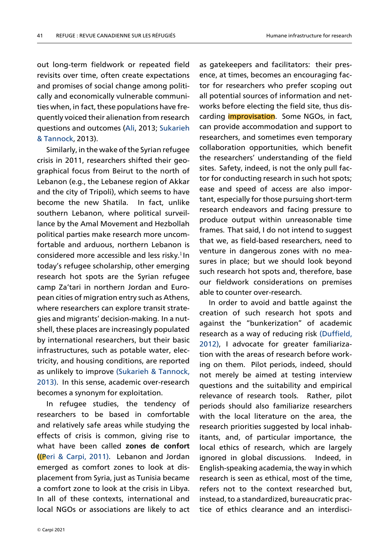out long-term fieldwork or repeated field revisits over time, often create expectations and promises of social change among politically and economically vulnerable communities when, in fact, these populations have frequently voiced their alienation from research questions and outcomes (Ali, 2013; Sukarieh & Tannock, 2013).

Similarly, in the wake of the Syrian refugee crisis in 2011, researchers shifted their geographical focus from Beirut to the north of Lebanon (e.g., the Lebanese region of Akkar and the city of Tripoli), which seems to have become the new Shatila. In fact, unlike southern Lebanon, where political surveillance by the Amal Movement and Hezbollah political parties make research more uncomfortable and arduous, northern Lebanon is considered more accessible and less risky.<sup>1</sup>In today's refugee scholarship, other emerging research hot spots are the Syrian refugee camp Za'tari in northern Jordan and European cities of migration entry such as Athens, where researchers can explore transit strategies and migrants' decision-making. In a nutshell, these places are increasingly populated by international researchers, but their basic infrastructures, such as potable water, electricity, and housing conditions, are reported as unlikely to improve (Sukarieh & Tannock, 2013). In this sense, academic over-research becomes a synonym for exploitation.

In refugee studies, the tendency of researchers to be based in comfortable and relatively safe areas while studying the effects of crisis is common, giving rise to what have been called zones de confort ((Peri & Carpi, 2011). Lebanon and Jordan emerged as comfort zones to look at displacement from Syria, just as Tunisia became a comfort zone to look at the crisis in Libya. In all of these contexts, international and local NGOs or associations are likely to act

as gatekeepers and facilitators: their presence, at times, becomes an encouraging factor for researchers who prefer scoping out all potential sources of information and networks before electing the field site, thus discarding *improvisation*. Some NGOs, in fact, can provide accommodation and support to researchers, and sometimes even temporary collaboration opportunities, which benefit the researchers' understanding of the field sites. Safety, indeed, is not the only pull factor for conducting research in such hot spots; ease and speed of access are also important, especially for those pursuing short-term research endeavors and facing pressure to produce output within unreasonable time frames. That said, I do not intend to suggest that we, as field-based researchers, need to venture in dangerous zones with no measures in place; but we should look beyond such research hot spots and, therefore, base our fieldwork considerations on premises able to counter over-research.

In order to avoid and battle against the creation of such research hot spots and against the "bunkerization" of academic research as a way of reducing risk (Duffield, 2012), I advocate for greater familiarization with the areas of research before working on them. Pilot periods, indeed, should not merely be aimed at testing interview questions and the suitability and empirical relevance of research tools. Rather, pilot periods should also familiarize researchers with the local literature on the area, the research priorities suggested by local inhabitants, and, of particular importance, the local ethics of research, which are largely ignored in global discussions. Indeed, in English-speaking academia, the way in which research is seen as ethical, most of the time, refers not to the context researched but, instead, to a standardized, bureaucratic practice of ethics clearance and an interdisci-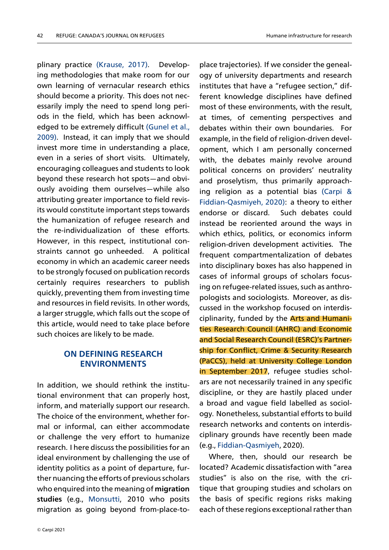plinary practice (Krause, 2017). Developing methodologies that make room for our own learning of vernacular research ethics should become a priority. This does not necessarily imply the need to spend long periods in the field, which has been acknowledged to be extremely difficult (Gunel et al., 2009). Instead, it can imply that we should invest more time in understanding a place, even in a series of short visits. Ultimately, encouraging colleagues and students to look beyond these research hot spots—and obviously avoiding them ourselves—while also attributing greater importance to field revisits would constitute important steps towards the humanization of refugee research and the re-individualization of these efforts. However, in this respect, institutional constraints cannot go unheeded. A political economy in which an academic career needs to be strongly focused on publication records certainly requires researchers to publish quickly, preventing them from investing time and resources in field revisits. In other words, a larger struggle, which falls out the scope of this article, would need to take place before such choices are likely to be made.

# ON DEFINING RESEARCH ENVIRONMENTS

In addition, we should rethink the institutional environment that can properly host, inform, and materially support our research. The choice of the environment, whether formal or informal, can either accommodate or challenge the very effort to humanize research. I here discuss the possibilities for an ideal environment by challenging the use of identity politics as a point of departure, further nuancing the efforts of previous scholars who enquired into the meaning of migration studies (e.g., Monsutti, 2010 who posits migration as going beyond from-place-to-

place trajectories). If we consider the genealogy of university departments and research institutes that have a "refugee section," different knowledge disciplines have defined most of these environments, with the result, at times, of cementing perspectives and debates within their own boundaries. For example, in the field of religion-driven development, which I am personally concerned with, the debates mainly revolve around political concerns on providers' neutrality and proselytism, thus primarily approaching religion as a potential bias (Carpi & Fiddian-Qasmiyeh, 2020): a theory to either endorse or discard. Such debates could instead be reoriented around the ways in which ethics, politics, or economics inform religion-driven development activities. The frequent compartmentalization of debates into disciplinary boxes has also happened in cases of informal groups of scholars focusing on refugee-related issues, such as anthropologists and sociologists. Moreover, as discussed in the workshop focused on interdisciplinarity, funded by the Arts and Humanities Research Council (AHRC) and Economic and Social Research Council (ESRC)'s Partnership for Conflict, Crime & Security Research (PaCCS), held at University College London in September 2017, refugee studies scholars are not necessarily trained in any specific discipline, or they are hastily placed under a broad and vague field labelled as sociology. Nonetheless, substantial efforts to build research networks and contents on interdisciplinary grounds have recently been made (e.g., Fiddian-Qasmiyeh, 2020).

Where, then, should our research be located? Academic dissatisfaction with "area studies" is also on the rise, with the critique that grouping studies and scholars on the basis of specific regions risks making each of these regions exceptional rather than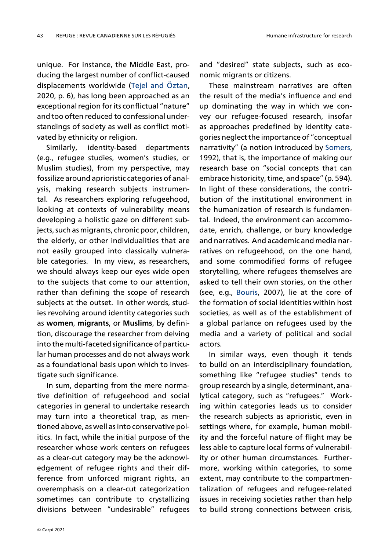unique. For instance, the Middle East, producing the largest number of conflict-caused displacements worldwide (Tejel and Öztan, 2020, p. 6), has long been approached as an exceptional region for its conflictual "nature" and too often reduced to confessional understandings of society as well as conflict motivated by ethnicity or religion.

Similarly, identity-based departments (e.g., refugee studies, women's studies, or Muslim studies), from my perspective, may fossilize around aprioristic categories of analysis, making research subjects instrumental. As researchers exploring refugeehood, looking at contexts of vulnerability means developing a holistic gaze on different subjects, such as migrants, chronic poor, children, the elderly, or other individualities that are not easily grouped into classically vulnerable categories. In my view, as researchers, we should always keep our eyes wide open to the subjects that come to our attention, rather than defining the scope of research subjects at the outset. In other words, studies revolving around identity categories such as women, migrants, or Muslims, by definition, discourage the researcher from delving into the multi-faceted significance of particular human processes and do not always work as a foundational basis upon which to investigate such significance.

In sum, departing from the mere normative definition of refugeehood and social categories in general to undertake research may turn into a theoretical trap, as mentioned above, as well as into conservative politics. In fact, while the initial purpose of the researcher whose work centers on refugees as a clear-cut category may be the acknowledgement of refugee rights and their difference from unforced migrant rights, an overemphasis on a clear-cut categorization sometimes can contribute to crystallizing divisions between "undesirable" refugees and "desired" state subjects, such as economic migrants or citizens.

These mainstream narratives are often the result of the media's influence and end up dominating the way in which we convey our refugee-focused research, insofar as approaches predefined by identity categories neglect the importance of "conceptual narrativity" (a notion introduced by Somers, 1992), that is, the importance of making our research base on "social concepts that can embrace historicity, time, and space" (p. 594). In light of these considerations, the contribution of the institutional environment in the humanization of research is fundamental. Indeed, the environment can accommodate, enrich, challenge, or bury knowledge and narratives. And academic and media narratives on refugeehood, on the one hand, and some commodified forms of refugee storytelling, where refugees themselves are asked to tell their own stories, on the other (see, e.g., Bouris, 2007), lie at the core of the formation of social identities within host societies, as well as of the establishment of a global parlance on refugees used by the media and a variety of political and social actors.

In similar ways, even though it tends to build on an interdisciplinary foundation, something like "refugee studies" tends to group research by a single, determinant, analytical category, such as "refugees." Working within categories leads us to consider the research subjects as aprioristic, even in settings where, for example, human mobility and the forceful nature of flight may be less able to capture local forms of vulnerability or other human circumstances. Furthermore, working within categories, to some extent, may contribute to the compartmentalization of refugees and refugee-related issues in receiving societies rather than help to build strong connections between crisis,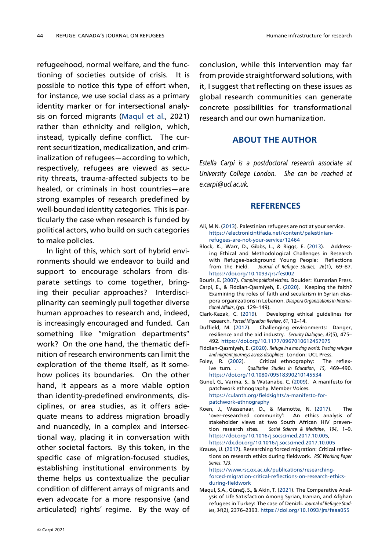refugeehood, normal welfare, and the functioning of societies outside of crisis. It is possible to notice this type of effort when, for instance, we use social class as a primary identity marker or for intersectional analysis on forced migrants (Maqul et al., 2021) rather than ethnicity and religion, which, instead, typically define conflict. The current securitization, medicalization, and criminalization of refugees—according to which, respectively, refugees are viewed as security threats, trauma-affected subjects to be healed, or criminals in host countries—are strong examples of research predefined by well-bounded identity categories. This is particularly the case when research is funded by political actors, who build on such categories to make policies.

In light of this, which sort of hybrid environments should we endeavor to build and support to encourage scholars from disparate settings to come together, bringing their peculiar approaches? Interdisciplinarity can seemingly pull together diverse human approaches to research and, indeed, is increasingly encouraged and funded. Can something like "migration departments" work? On the one hand, the thematic definition of research environments can limit the exploration of the theme itself, as it somehow polices its boundaries. On the other hand, it appears as a more viable option than identity-predefined environments, disciplines, or area studies, as it offers adequate means to address migration broadly and nuancedly, in a complex and intersectional way, placing it in conversation with other societal factors. By this token, in the specific case of migration-focused studies, establishing institutional environments by theme helps us contextualize the peculiar condition of different arrays of migrants and even advocate for a more responsive (and articulated) rights' regime. By the way of

conclusion, while this intervention may far from provide straightforward solutions, with it, I suggest that reflecting on these issues as global research communities can generate concrete possibilities for transformational research and our own humanization.

## ABOUT THE AUTHOR

Estella Carpi is a postdoctoral research associate at University College London. She can be reached at e.carpi@ucl.ac.uk.

### **REFERENCES**

- Ali, M.N. (2013). Palestinian refugees are not at your service. https://electronicintifada.net/content/palestinianrefugees-are-not-your-service/12464
- Block, K., Warr, D., Gibbs, L., & Riggs, E. (2013). Addressing Ethical and Methodological Challenges in Research with Refugee-background Young People: Reflections from the Field. Journal of Refugee Studies, 26(1), 69–87. https://doi.org/10.1093/jrs/fes002
- Bouris, E. (2007). Complex political victims. Boulder: Kumarian Press.
- Carpi, E., & Fiddian-Qasmiyeh, E. (2020). Keeping the faith? Examining the roles of faith and secularism in Syrian diaspora organizations in Lebanon. Diaspora Organizations in International Affairs, (pp. 129–149).
- Clark-Kazak, C. (2019). Developing ethical guidelines for research. Forced Migration Review, 61, 12–14.
- Duffield, M. (2012). Challenging environments: Danger, resilience and the aid industry. Security Dialogue, 43(5), 475– 492. https://doi.org/10.1177/0967010612457975
- Fiddian-Qasmiyeh, E. (2020). Refuge in a moving world: Tracing refugee and migrant journeys across disciplines. London: UCL Press.
- Foley, R. (2002). Critical ethnography: The reflexive turn. . Qualitative Studies in Education, 15, 469–490. https://doi.org/10.1080/09518390210145534
- Gunel, G., Varma, S., & Watanabe, C. (2009). A manifesto for patchwork ethnography. Member Voices. https://culanth.org/fieldsights/a-manifesto-forpatchwork-ethnography
- Koen, J., Wassenaar, D., & Mamotte, N. (2017). The 'over-researched community': An ethics analysis of stakeholder views at two South African HIV prevention research sites. Social Science & Medicine, 194, 1–9. https://doi.org/10.1016/j.socscimed.2017.10.005, https://dx.doi.org/10.1016/j.socscimed.2017.10.005
- Krause, U. (2017). Researching forced migration: Critical reflections on research ethics during fieldwork. RSC Working Paper Series, 123. https://www.rsc.ox.ac.uk/publications/researching-

forced-migration-critical-reflections-on-research-ethicsduring-fieldwork

Maqul, S.A., GüneŞ, S., & Akin, T. (2021). The Comparative Analysis of Life Satisfaction Among Syrian, Iranian, and Afghan refugees in Turkey: The case of Denizli. Journal of Refugee Studies, 34(2), 2376–2393. https://doi.org/10.1093/jrs/feaa055